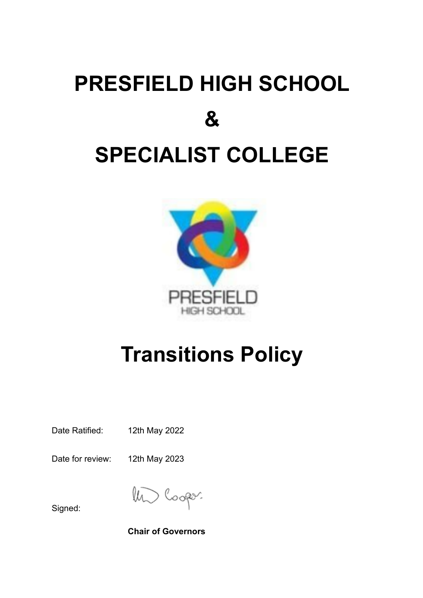## **PRESFIELD HIGH SCHOOL & SPECIALIST COLLEGE**



## **Transitions Policy**

Date Ratified: 12th May 2022

Date for review: 12th May 2023

lli

Signed:

**Chair of Governors**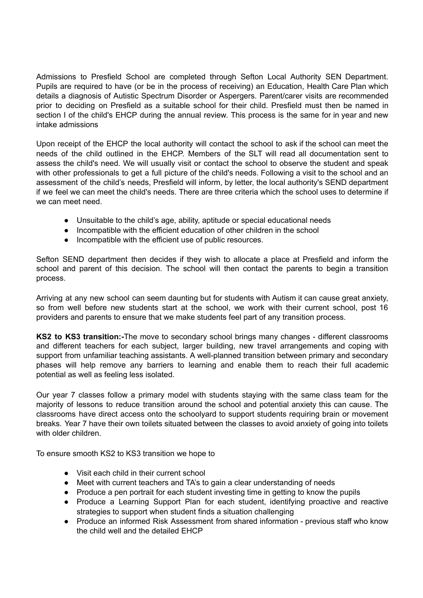Admissions to Presfield School are completed through Sefton Local Authority SEN Department. Pupils are required to have (or be in the process of receiving) an Education, Health Care Plan which details a diagnosis of Autistic Spectrum Disorder or Aspergers. Parent/carer visits are recommended prior to deciding on Presfield as a suitable school for their child. Presfield must then be named in section I of the child's EHCP during the annual review. This process is the same for in year and new intake admissions

Upon receipt of the EHCP the local authority will contact the school to ask if the school can meet the needs of the child outlined in the EHCP. Members of the SLT will read all documentation sent to assess the child's need. We will usually visit or contact the school to observe the student and speak with other professionals to get a full picture of the child's needs. Following a visit to the school and an assessment of the child's needs, Presfield will inform, by letter, the local authority's SEND department if we feel we can meet the child's needs. There are three criteria which the school uses to determine if we can meet need.

- Unsuitable to the child's age, ability, aptitude or special educational needs
- Incompatible with the efficient education of other children in the school
- Incompatible with the efficient use of public resources.

Sefton SEND department then decides if they wish to allocate a place at Presfield and inform the school and parent of this decision. The school will then contact the parents to begin a transition process.

Arriving at any new school can seem daunting but for students with Autism it can cause great anxiety, so from well before new students start at the school, we work with their current school, post 16 providers and parents to ensure that we make students feel part of any transition process.

**KS2 to KS3 transition:-**The move to secondary school brings many changes - different classrooms and different teachers for each subject, larger building, new travel arrangements and coping with support from unfamiliar teaching assistants. A well-planned transition between primary and secondary phases will help remove any barriers to learning and enable them to reach their full academic potential as well as feeling less isolated.

Our year 7 classes follow a primary model with students staying with the same class team for the majority of lessons to reduce transition around the school and potential anxiety this can cause. The classrooms have direct access onto the schoolyard to support students requiring brain or movement breaks. Year 7 have their own toilets situated between the classes to avoid anxiety of going into toilets with older children.

To ensure smooth KS2 to KS3 transition we hope to

- Visit each child in their current school
- Meet with current teachers and TA's to gain a clear understanding of needs
- Produce a pen portrait for each student investing time in getting to know the pupils
- Produce a Learning Support Plan for each student, identifying proactive and reactive strategies to support when student finds a situation challenging
- Produce an informed Risk Assessment from shared information previous staff who know the child well and the detailed EHCP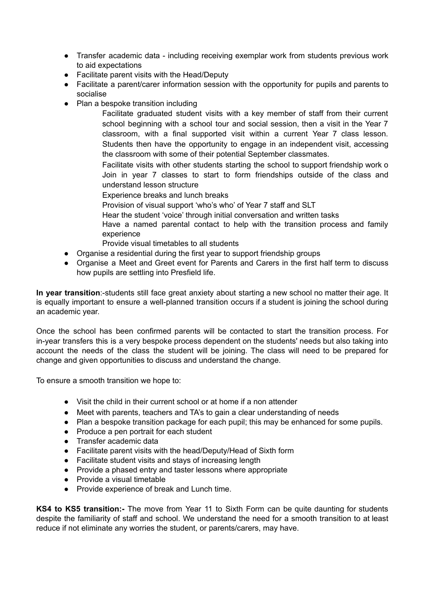- Transfer academic data including receiving exemplar work from students previous work to aid expectations
- Facilitate parent visits with the Head/Deputy
- Facilitate a parent/carer information session with the opportunity for pupils and parents to socialise
- Plan a bespoke transition including

Facilitate graduated student visits with a key member of staff from their current school beginning with a school tour and social session, then a visit in the Year 7 classroom, with a final supported visit within a current Year 7 class lesson. Students then have the opportunity to engage in an independent visit, accessing the classroom with some of their potential September classmates.

Facilitate visits with other students starting the school to support friendship work o Join in year 7 classes to start to form friendships outside of the class and understand lesson structure

Experience breaks and lunch breaks

Provision of visual support 'who's who' of Year 7 staff and SLT

Hear the student 'voice' through initial conversation and written tasks

Have a named parental contact to help with the transition process and family experience

Provide visual timetables to all students

- Organise a residential during the first year to support friendship groups
- Organise a Meet and Greet event for Parents and Carers in the first half term to discuss how pupils are settling into Presfield life.

**In year transition**:-students still face great anxiety about starting a new school no matter their age. It is equally important to ensure a well-planned transition occurs if a student is joining the school during an academic year.

Once the school has been confirmed parents will be contacted to start the transition process. For in-year transfers this is a very bespoke process dependent on the students' needs but also taking into account the needs of the class the student will be joining. The class will need to be prepared for change and given opportunities to discuss and understand the change.

To ensure a smooth transition we hope to:

- Visit the child in their current school or at home if a non attender
- Meet with parents, teachers and TA's to gain a clear understanding of needs
- Plan a bespoke transition package for each pupil; this may be enhanced for some pupils.
- Produce a pen portrait for each student
- Transfer academic data
- Facilitate parent visits with the head/Deputy/Head of Sixth form
- Facilitate student visits and stays of increasing length
- Provide a phased entry and taster lessons where appropriate
- Provide a visual timetable
- Provide experience of break and Lunch time.

**KS4 to KS5 transition:-** The move from Year 11 to Sixth Form can be quite daunting for students despite the familiarity of staff and school. We understand the need for a smooth transition to at least reduce if not eliminate any worries the student, or parents/carers, may have.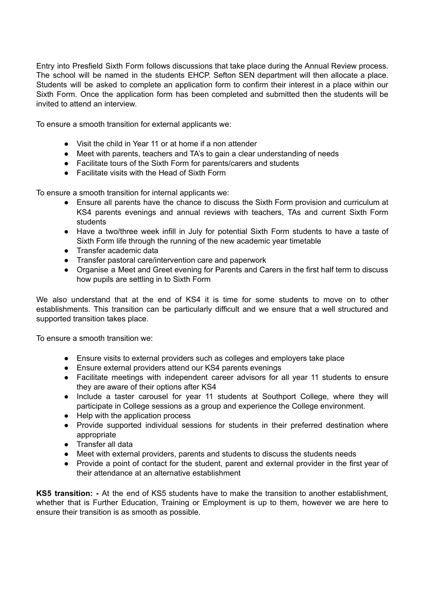Entry into Presfield Sixth Form follows discussions that take place during the Annual Review process. The school will be named in the students EHCP. Sefton SEN department will then allocate a place. Students will be asked to complete an application form to confirm their interest in a place within our Sixth Form. Once the application form has been completed and submitted then the students will be invited to attend an interview.

To ensure a smooth transition for external applicants we:

- Visit the child in Year 11 or at home if a non attender
- Meet with parents, teachers and TA's to gain a clear understanding of needs
- Facilitate tours of the Sixth Form for parents/carers and students
- Facilitate visits with the Head of Sixth Form

To ensure a smooth transition for internal applicants we:

- Ensure all parents have the chance to discuss the Sixth Form provision and curriculum at KS4 parents evenings and annual reviews with teachers, TAs and current Sixth Form students
- Have a two/three week infill in July for potential Sixth Form students to have a taste of Sixth Form life through the running of the new academic year timetable
- Transfer academic data
- Transfer pastoral care/intervention care and paperwork
- Organise a Meet and Greet evening for Parents and Carers in the first half term to discuss how pupils are settling in to Sixth Form

We also understand that at the end of KS4 it is time for some students to move on to other establishments. This transition can be particularly difficult and we ensure that a well structured and supported transition takes place.

To ensure a smooth transition we:

- Ensure visits to external providers such as colleges and employers take place
- Ensure external providers attend our KS4 parents evenings
- Facilitate meetings with independent career advisors for all year 11 students to ensure they are aware of their options after KS4
- Include a taster carousel for year 11 students at Southport College, where they will participate in College sessions as a group and experience the College environment.
- Help with the application process
- Provide supported individual sessions for students in their preferred destination where appropriate
- Transfer all data
- Meet with external providers, parents and students to discuss the students needs
- Provide a point of contact for the student, parent and external provider in the first year of their attendance at an alternative establishment

**KS5 transition: -** At the end of KS5 students have to make the transition to another establishment, whether that is Further Education, Training or Employment is up to them, however we are here to ensure their transition is as smooth as possible.